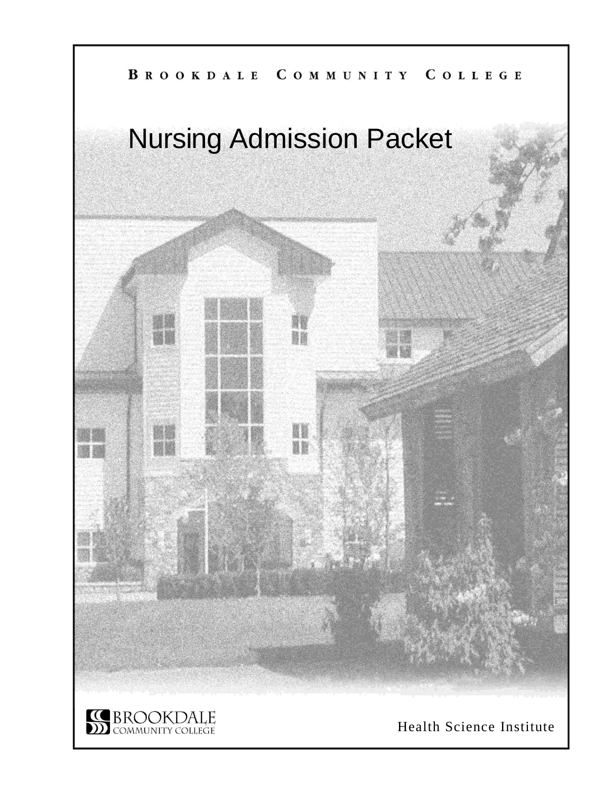## BROOKDALE COMMUNITY COLLEGE

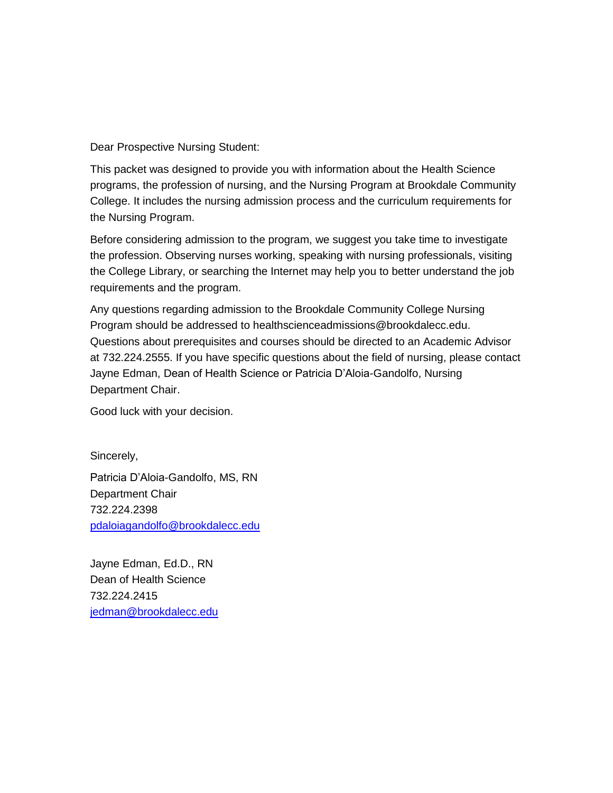Dear Prospective Nursing Student:

This packet was designed to provide you with information about the Health Science programs, the profession of nursing, and the Nursing Program at Brookdale Community College. It includes the nursing admission process and the curriculum requirements for the Nursing Program.

Before considering admission to the program, we suggest you take time to investigate the profession. Observing nurses working, speaking with nursing professionals, visiting the College Library, or searching the Internet may help you to better understand the job requirements and the program.

Any questions regarding admission to the Brookdale Community College Nursing Program should be addressed to healthscienceadmissions@brookdalecc.edu. Questions about prerequisites and courses should be directed to an Academic Advisor at 732.224.2555. If you have specific questions about the field of nursing, please contact Jayne Edman, Dean of Health Science or Patricia D'Aloia-Gandolfo, Nursing Department Chair.

Good luck with your decision.

Sincerely,

Patricia D'Aloia-Gandolfo, MS, RN Department Chair 732.224.2398 [pdaloiagandolfo@brookdalecc.edu](mailto:pdaloiagandolfo@brookdalecc.edu)

Jayne Edman, Ed.D., RN Dean of Health Science 732.224.2415 [jedman@brookdalecc.edu](mailto:jedman@brookdalecc.edu)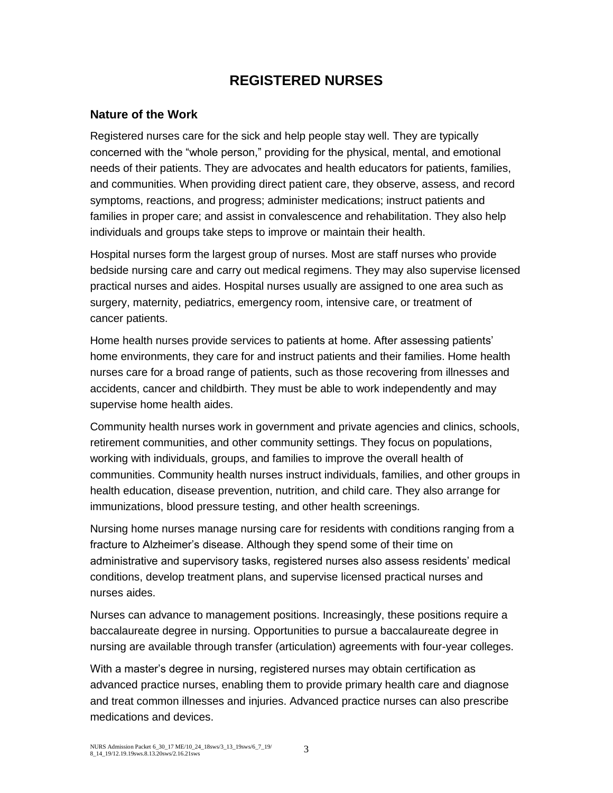### **REGISTERED NURSES**

### **Nature of the Work**

Registered nurses care for the sick and help people stay well. They are typically concerned with the "whole person," providing for the physical, mental, and emotional needs of their patients. They are advocates and health educators for patients, families, and communities. When providing direct patient care, they observe, assess, and record symptoms, reactions, and progress; administer medications; instruct patients and families in proper care; and assist in convalescence and rehabilitation. They also help individuals and groups take steps to improve or maintain their health.

Hospital nurses form the largest group of nurses. Most are staff nurses who provide bedside nursing care and carry out medical regimens. They may also supervise licensed practical nurses and aides. Hospital nurses usually are assigned to one area such as surgery, maternity, pediatrics, emergency room, intensive care, or treatment of cancer patients.

Home health nurses provide services to patients at home. After assessing patients' home environments, they care for and instruct patients and their families. Home health nurses care for a broad range of patients, such as those recovering from illnesses and accidents, cancer and childbirth. They must be able to work independently and may supervise home health aides.

Community health nurses work in government and private agencies and clinics, schools, retirement communities, and other community settings. They focus on populations, working with individuals, groups, and families to improve the overall health of communities. Community health nurses instruct individuals, families, and other groups in health education, disease prevention, nutrition, and child care. They also arrange for immunizations, blood pressure testing, and other health screenings.

Nursing home nurses manage nursing care for residents with conditions ranging from a fracture to Alzheimer's disease. Although they spend some of their time on administrative and supervisory tasks, registered nurses also assess residents' medical conditions, develop treatment plans, and supervise licensed practical nurses and nurses aides.

Nurses can advance to management positions. Increasingly, these positions require a baccalaureate degree in nursing. Opportunities to pursue a baccalaureate degree in nursing are available through transfer (articulation) agreements with four-year colleges.

With a master's degree in nursing, registered nurses may obtain certification as advanced practice nurses, enabling them to provide primary health care and diagnose and treat common illnesses and injuries. Advanced practice nurses can also prescribe medications and devices.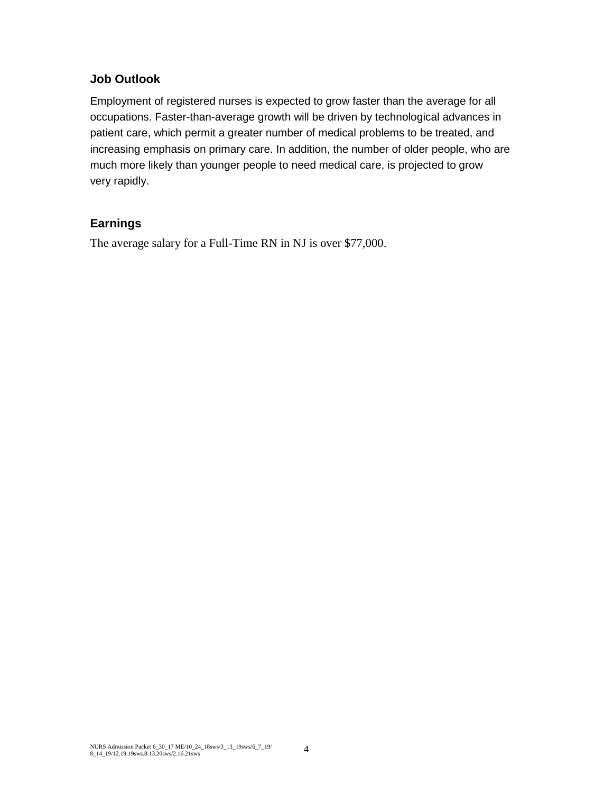### **Job Outlook**

Employment of registered nurses is expected to grow faster than the average for all occupations. Faster-than-average growth will be driven by technological advances in patient care, which permit a greater number of medical problems to be treated, and increasing emphasis on primary care. In addition, the number of older people, who are much more likely than younger people to need medical care, is projected to grow very rapidly.

### **Earnings**

The average salary for a Full-Time RN in NJ is over \$77,000.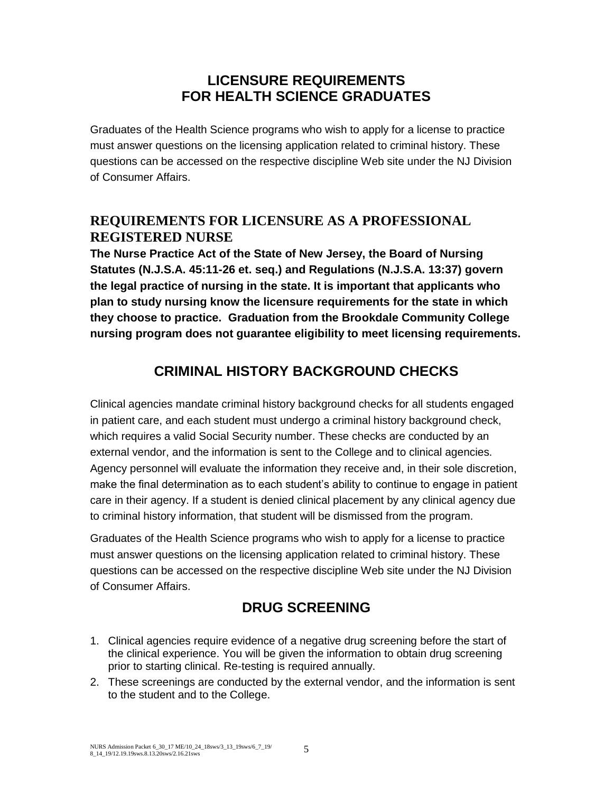### **LICENSURE REQUIREMENTS FOR HEALTH SCIENCE GRADUATES**

Graduates of the Health Science programs who wish to apply for a license to practice must answer questions on the licensing application related to criminal history. These questions can be accessed on the respective discipline Web site under the NJ Division of Consumer Affairs.

### **REQUIREMENTS FOR LICENSURE AS A PROFESSIONAL REGISTERED NURSE**

**The Nurse Practice Act of the State of New Jersey, the Board of Nursing Statutes (N.J.S.A. 45:11-26 et. seq.) and Regulations (N.J.S.A. 13:37) govern the legal practice of nursing in the state. It is important that applicants who plan to study nursing know the licensure requirements for the state in which they choose to practice. Graduation from the Brookdale Community College nursing program does not guarantee eligibility to meet licensing requirements.**

# **CRIMINAL HISTORY BACKGROUND CHECKS**

Clinical agencies mandate criminal history background checks for all students engaged in patient care, and each student must undergo a criminal history background check, which requires a valid Social Security number. These checks are conducted by an external vendor, and the information is sent to the College and to clinical agencies. Agency personnel will evaluate the information they receive and, in their sole discretion, make the final determination as to each student's ability to continue to engage in patient care in their agency. If a student is denied clinical placement by any clinical agency due to criminal history information, that student will be dismissed from the program.

Graduates of the Health Science programs who wish to apply for a license to practice must answer questions on the licensing application related to criminal history. These questions can be accessed on the respective discipline Web site under the NJ Division of Consumer Affairs.

# **DRUG SCREENING**

- 1. Clinical agencies require evidence of a negative drug screening before the start of the clinical experience. You will be given the information to obtain drug screening prior to starting clinical. Re-testing is required annually.
- 2. These screenings are conducted by the external vendor, and the information is sent to the student and to the College.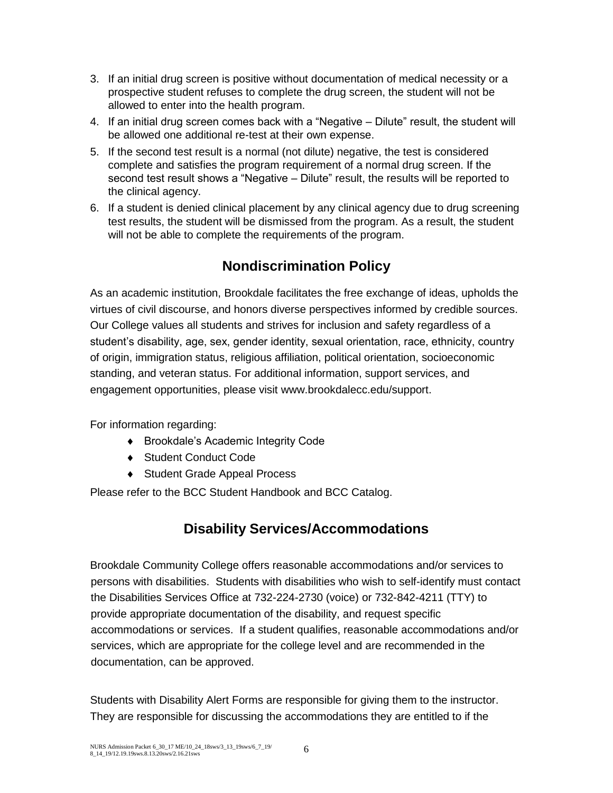- 3. If an initial drug screen is positive without documentation of medical necessity or a prospective student refuses to complete the drug screen, the student will not be allowed to enter into the health program.
- 4. If an initial drug screen comes back with a "Negative Dilute" result, the student will be allowed one additional re-test at their own expense.
- 5. If the second test result is a normal (not dilute) negative, the test is considered complete and satisfies the program requirement of a normal drug screen. If the second test result shows a "Negative – Dilute" result, the results will be reported to the clinical agency.
- 6. If a student is denied clinical placement by any clinical agency due to drug screening test results, the student will be dismissed from the program. As a result, the student will not be able to complete the requirements of the program.

# **Nondiscrimination Policy**

As an academic institution, Brookdale facilitates the free exchange of ideas, upholds the virtues of civil discourse, and honors diverse perspectives informed by credible sources. Our College values all students and strives for inclusion and safety regardless of a student's disability, age, sex, gender identity, sexual orientation, race, ethnicity, country of origin, immigration status, religious affiliation, political orientation, socioeconomic standing, and veteran status. For additional information, support services, and engagement opportunities, please visit [www.brookdalecc.edu/support.](http://www.brookdalecc.edu/support)

For information regarding:

- ◆ Brookdale's Academic Integrity Code
- ◆ Student Conduct Code
- ◆ Student Grade Appeal Process

Please refer to the [BCC Student Handbook](https://www.brookdalecc.edu/vp-student-success/handbook/) and [BCC Catalog.](http://catalog.brookdalecc.edu/)

## **Disability Services/Accommodations**

Brookdale Community College offers reasonable accommodations and/or services to persons with disabilities. Students with disabilities who wish to self-identify must contact the Disabilities Services Office at 732-224-2730 (voice) or 732-842-4211 (TTY) to provide appropriate documentation of the disability, and request specific accommodations or services. If a student qualifies, reasonable accommodations and/or services, which are appropriate for the college level and are recommended in the documentation, can be approved.

Students with Disability Alert Forms are responsible for giving them to the instructor. They are responsible for discussing the accommodations they are entitled to if the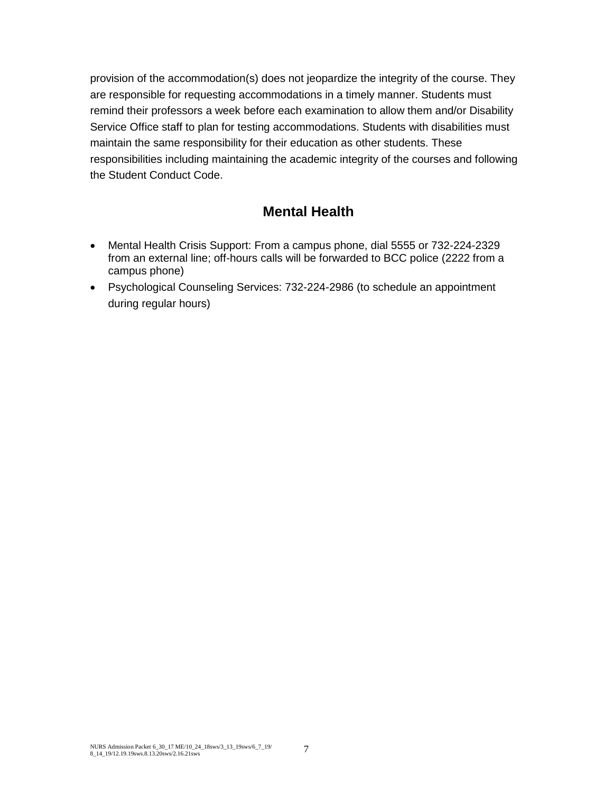provision of the accommodation(s) does not jeopardize the integrity of the course. They are responsible for requesting accommodations in a timely manner. Students must remind their professors a week before each examination to allow them and/or Disability Service Office staff to plan for testing accommodations. Students with disabilities must maintain the same responsibility for their education as other students. These responsibilities including maintaining the academic integrity of the courses and following the Student Conduct Code.

## **Mental Health**

- Mental Health Crisis Support: From a campus phone, dial 5555 or 732-224-2329 from an external line; off-hours calls will be forwarded to BCC police (2222 from a campus phone)
- Psychological Counseling Services: 732-224-2986 (to schedule an appointment during regular hours)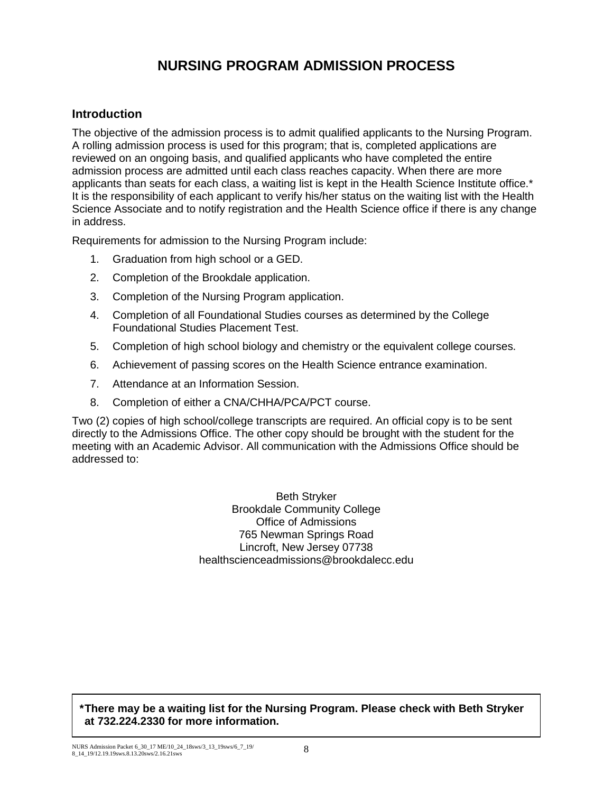## **NURSING PROGRAM ADMISSION PROCESS**

#### **Introduction**

The objective of the admission process is to admit qualified applicants to the Nursing Program. A rolling admission process is used for this program; that is, completed applications are reviewed on an ongoing basis, and qualified applicants who have completed the entire admission process are admitted until each class reaches capacity. When there are more applicants than seats for each class, a waiting list is kept in the Health Science Institute office.\* It is the responsibility of each applicant to verify his/her status on the waiting list with the Health Science Associate and to notify registration and the Health Science office if there is any change in address.

Requirements for admission to the Nursing Program include:

- 1. Graduation from high school or a GED.
- 2. Completion of the Brookdale application.
- 3. Completion of the Nursing Program application.
- 4. Completion of all Foundational Studies courses as determined by the College Foundational Studies Placement Test.
- 5. Completion of high school biology and chemistry or the equivalent college courses.
- 6. Achievement of passing scores on the Health Science entrance examination.
- 7. Attendance at an Information Session.
- 8. Completion of either a CNA/CHHA/PCA/PCT course.

Two (2) copies of high school/college transcripts are required. An official copy is to be sent directly to the Admissions Office. The other copy should be brought with the student for the meeting with an Academic Advisor. All communication with the Admissions Office should be addressed to:

> Beth Stryker Brookdale Community College Office of Admissions 765 Newman Springs Road Lincroft, New Jersey 07738 healthscienceadmissions@brookdalecc.edu

**\*There may be a waiting list for the Nursing Program. Please check with Beth Stryker at 732.224.2330 for more information.**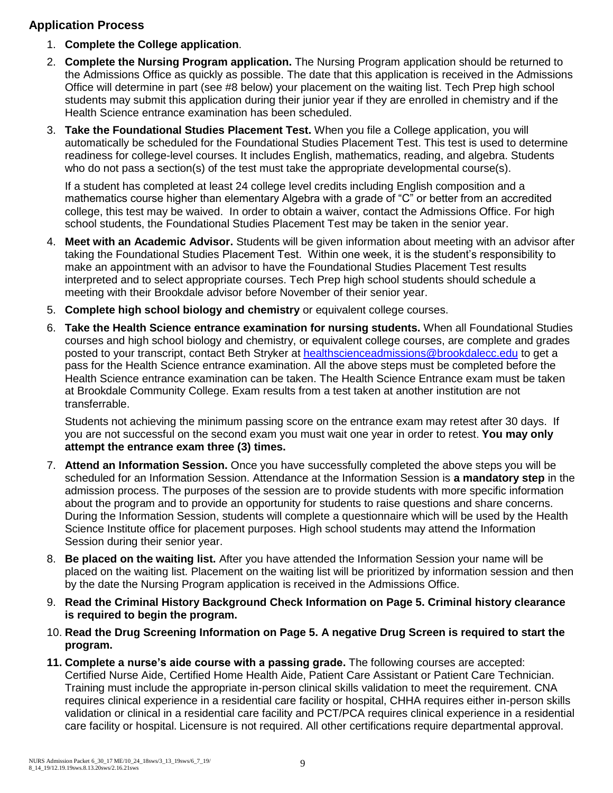### **Application Process**

- 1. **Complete the College application**.
- 2. **Complete the Nursing Program application.** The Nursing Program application should be returned to the Admissions Office as quickly as possible. The date that this application is received in the Admissions Office will determine in part (see #8 below) your placement on the waiting list. Tech Prep high school students may submit this application during their junior year if they are enrolled in chemistry and if the Health Science entrance examination has been scheduled.
- 3. **Take the Foundational Studies Placement Test.** When you file a College application, you will automatically be scheduled for the Foundational Studies Placement Test. This test is used to determine readiness for college-level courses. It includes English, mathematics, reading, and algebra. Students who do not pass a section(s) of the test must take the appropriate developmental course(s).

If a student has completed at least 24 college level credits including English composition and a mathematics course higher than elementary Algebra with a grade of "C" or better from an accredited college, this test may be waived. In order to obtain a waiver, contact the Admissions Office. For high school students, the Foundational Studies Placement Test may be taken in the senior year.

- 4. **Meet with an Academic Advisor.** Students will be given information about meeting with an advisor after taking the Foundational Studies Placement Test. Within one week, it is the student's responsibility to make an appointment with an advisor to have the Foundational Studies Placement Test results interpreted and to select appropriate courses. Tech Prep high school students should schedule a meeting with their Brookdale advisor before November of their senior year.
- 5. **Complete high school biology and chemistry** or equivalent college courses.
- 6. **Take the Health Science entrance examination for nursing students.** When all Foundational Studies courses and high school biology and chemistry, or equivalent college courses, are complete and grades posted to your transcript, contact Beth Stryker at [healthscienceadmissions@brookdalecc.edu](mailto:healthscienceadmissions@brookdalecc.edu) to get a pass for the Health Science entrance examination. All the above steps must be completed before the Health Science entrance examination can be taken. The Health Science Entrance exam must be taken at Brookdale Community College. Exam results from a test taken at another institution are not transferrable.

Students not achieving the minimum passing score on the entrance exam may retest after 30 days. If you are not successful on the second exam you must wait one year in order to retest. **You may only attempt the entrance exam three (3) times.**

- 7. **Attend an Information Session.** Once you have successfully completed the above steps you will be scheduled for an Information Session. Attendance at the Information Session is **a mandatory step** in the admission process. The purposes of the session are to provide students with more specific information about the program and to provide an opportunity for students to raise questions and share concerns. During the Information Session, students will complete a questionnaire which will be used by the Health Science Institute office for placement purposes. High school students may attend the Information Session during their senior year.
- 8. **Be placed on the waiting list.** After you have attended the Information Session your name will be placed on the waiting list. Placement on the waiting list will be prioritized by information session and then by the date the Nursing Program application is received in the Admissions Office.
- 9. **Read the Criminal History Background Check Information on Page 5. Criminal history clearance is required to begin the program.**
- 10. **Read the Drug Screening Information on Page 5. A negative Drug Screen is required to start the program.**
- **11. Complete a nurse's aide course with a passing grade.** The following courses are accepted: Certified Nurse Aide, Certified Home Health Aide, Patient Care Assistant or Patient Care Technician. Training must include the appropriate in-person clinical skills validation to meet the requirement. CNA requires clinical experience in a residential care facility or hospital, CHHA requires either in-person skills validation or clinical in a residential care facility and PCT/PCA requires clinical experience in a residential care facility or hospital. Licensure is not required. All other certifications require departmental approval.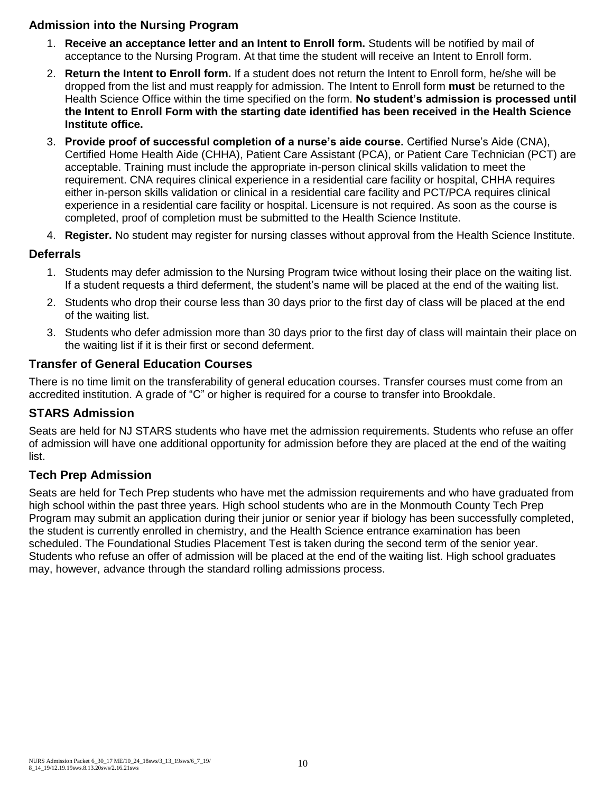### **Admission into the Nursing Program**

- 1. **Receive an acceptance letter and an Intent to Enroll form.** Students will be notified by mail of acceptance to the Nursing Program. At that time the student will receive an Intent to Enroll form.
- 2. **Return the Intent to Enroll form.** If a student does not return the Intent to Enroll form, he/she will be dropped from the list and must reapply for admission. The Intent to Enroll form **must** be returned to the Health Science Office within the time specified on the form. **No student's admission is processed until the Intent to Enroll Form with the starting date identified has been received in the Health Science Institute office.**
- 3. **Provide proof of successful completion of a nurse's aide course.** Certified Nurse's Aide (CNA), Certified Home Health Aide (CHHA), Patient Care Assistant (PCA), or Patient Care Technician (PCT) are acceptable. Training must include the appropriate in-person clinical skills validation to meet the requirement. CNA requires clinical experience in a residential care facility or hospital, CHHA requires either in-person skills validation or clinical in a residential care facility and PCT/PCA requires clinical experience in a residential care facility or hospital. Licensure is not required. As soon as the course is completed, proof of completion must be submitted to the Health Science Institute.
- 4. **Register.** No student may register for nursing classes without approval from the Health Science Institute.

#### **Deferrals**

- 1. Students may defer admission to the Nursing Program twice without losing their place on the waiting list. If a student requests a third deferment, the student's name will be placed at the end of the waiting list.
- 2. Students who drop their course less than 30 days prior to the first day of class will be placed at the end of the waiting list.
- 3. Students who defer admission more than 30 days prior to the first day of class will maintain their place on the waiting list if it is their first or second deferment.

#### **Transfer of General Education Courses**

There is no time limit on the transferability of general education courses. Transfer courses must come from an accredited institution. A grade of "C" or higher is required for a course to transfer into Brookdale.

#### **STARS Admission**

Seats are held for NJ STARS students who have met the admission requirements. Students who refuse an offer of admission will have one additional opportunity for admission before they are placed at the end of the waiting list.

#### **Tech Prep Admission**

Seats are held for Tech Prep students who have met the admission requirements and who have graduated from high school within the past three years. High school students who are in the Monmouth County Tech Prep Program may submit an application during their junior or senior year if biology has been successfully completed, the student is currently enrolled in chemistry, and the Health Science entrance examination has been scheduled. The Foundational Studies Placement Test is taken during the second term of the senior year. Students who refuse an offer of admission will be placed at the end of the waiting list. High school graduates may, however, advance through the standard rolling admissions process.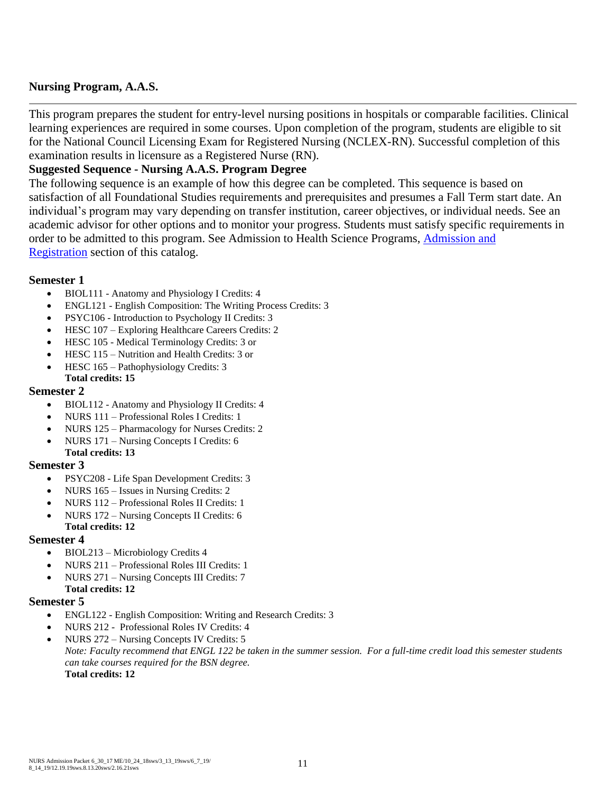#### **Nursing Program, A.A.S.**

This program prepares the student for entry-level nursing positions in hospitals or comparable facilities. Clinical learning experiences are required in some courses. Upon completion of the program, students are eligible to sit for the National Council Licensing Exam for Registered Nursing (NCLEX-RN). Successful completion of this examination results in licensure as a Registered Nurse (RN).

#### **Suggested Sequence - Nursing A.A.S. Program Degree**

The following sequence is an example of how this degree can be completed. This sequence is based on satisfaction of all Foundational Studies requirements and prerequisites and presumes a Fall Term start date. An individual's program may vary depending on transfer institution, career objectives, or individual needs. See an academic advisor for other options and to monitor your progress. Students must satisfy specific requirements in order to be admitted to this program. See Admission to Health Science Programs, [Admission and](http://catalog.brookdalecc.edu/preview_program.php?catoid=8&poid=951&returnto=593)  [Registration](http://catalog.brookdalecc.edu/preview_program.php?catoid=8&poid=951&returnto=593) section of this catalog.

#### **Semester 1**

- BIOL111 Anatomy and Physiology I Credits: 4
- ENGL121 English Composition: The Writing Process Credits: 3
- PSYC106 Introduction to Psychology II Credits: 3
- HESC 107 Exploring Healthcare Careers Credits: 2
- HESC 105 Medical Terminology Credits: 3 or
- HESC 115 Nutrition and Health Credits: 3 or
- HESC 165 Pathophysiology Credits: 3 **Total credits: 15**

#### **Semester 2**

- BIOL112 Anatomy and Physiology II Credits: 4
- NURS 111 Professional Roles I Credits: 1
- NURS 125 Pharmacology for Nurses Credits: 2
- NURS 171 Nursing Concepts I Credits: 6 **Total credits: 13**

#### **Semester 3**

- PSYC208 Life Span Development Credits: 3
- NURS 165 Issues in Nursing Credits: 2
- NURS 112 Professional Roles II Credits: 1
- NURS 172 Nursing Concepts II Credits: 6 **Total credits: 12**

#### **Semester 4**

- BIOL213 Microbiology Credits 4
- NURS 211 Professional Roles III Credits: 1
- NURS 271 Nursing Concepts III Credits: 7
- **Total credits: 12**

#### **Semester 5**

- ENGL122 English Composition: Writing and Research Credits: 3
- NURS 212 Professional Roles IV Credits: 4
- NURS 272 Nursing Concepts IV Credits: 5 *Note: Faculty recommend that ENGL 122 be taken in the summer session. For a full-time credit load this semester students can take courses required for the BSN degree.* **Total credits: 12**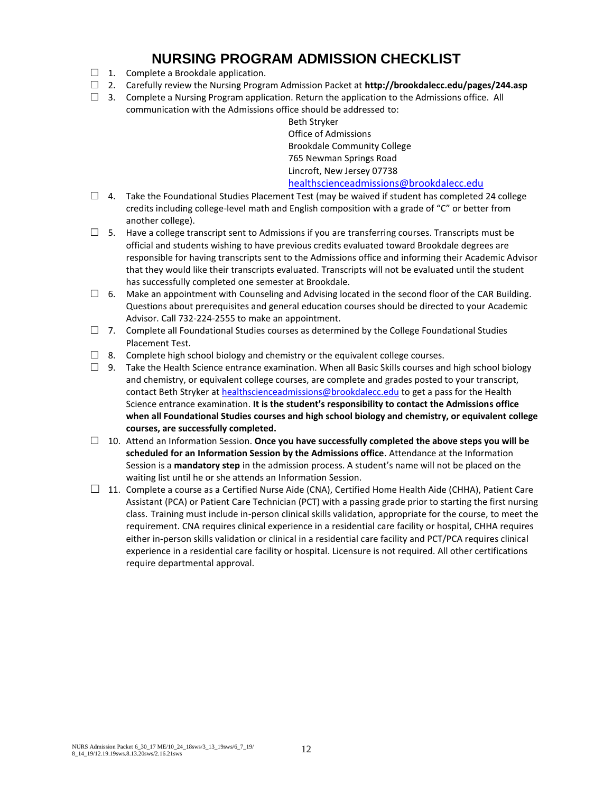## **NURSING PROGRAM ADMISSION CHECKLIST**

- $\Box$  1. Complete a Brookdale application.
- 2. Carefully review the Nursing Program Admission Packet at **http://brookdalecc.edu/pages/244.asp**
- $\Box$  3. Complete a Nursing Program application. Return the application to the Admissions office. All communication with the Admissions office should be addressed to:

Beth Stryker Office of Admissions Brookdale Community College 765 Newman Springs Road Lincroft, New Jersey 07738 [healthscienceadmissions@brookdalecc.edu](mailto:healthscienceadmissions@brookdalecc.edu)

- $\Box$  4. Take the Foundational Studies Placement Test (may be waived if student has completed 24 college credits including college-level math and English composition with a grade of "C" or better from another college).
- $\square$  5. Have a college transcript sent to Admissions if you are transferring courses. Transcripts must be official and students wishing to have previous credits evaluated toward Brookdale degrees are responsible for having transcripts sent to the Admissions office and informing their Academic Advisor that they would like their transcripts evaluated. Transcripts will not be evaluated until the student has successfully completed one semester at Brookdale.
- $\Box$  6. Make an appointment with Counseling and Advising located in the second floor of the CAR Building. Questions about prerequisites and general education courses should be directed to your Academic Advisor. Call 732-224-2555 to make an appointment.
- $\Box$  7. Complete all Foundational Studies courses as determined by the College Foundational Studies Placement Test.
- $\Box$  8. Complete high school biology and chemistry or the equivalent college courses.
- $\Box$  9. Take the Health Science entrance examination. When all Basic Skills courses and high school biology and chemistry, or equivalent college courses, are complete and grades posted to your transcript, contact Beth Stryker a[t healthscienceadmissions@brookdalecc.edu](mailto:healthscienceadmissions@brookdalecc.edu) to get a pass for the Health Science entrance examination. **It is the student's responsibility to contact the Admissions office when all Foundational Studies courses and high school biology and chemistry, or equivalent college courses, are successfully completed.**
- □ 10. Attend an Information Session. **Once you have successfully completed the above steps you will be scheduled for an Information Session by the Admissions office**. Attendance at the Information Session is a **mandatory step** in the admission process. A student's name will not be placed on the waiting list until he or she attends an Information Session.
- $\Box$  11. Complete a course as a Certified Nurse Aide (CNA), Certified Home Health Aide (CHHA), Patient Care Assistant (PCA) or Patient Care Technician (PCT) with a passing grade prior to starting the first nursing class. Training must include in-person clinical skills validation, appropriate for the course, to meet the requirement. CNA requires clinical experience in a residential care facility or hospital, CHHA requires either in-person skills validation or clinical in a residential care facility and PCT/PCA requires clinical experience in a residential care facility or hospital. Licensure is not required. All other certifications require departmental approval.